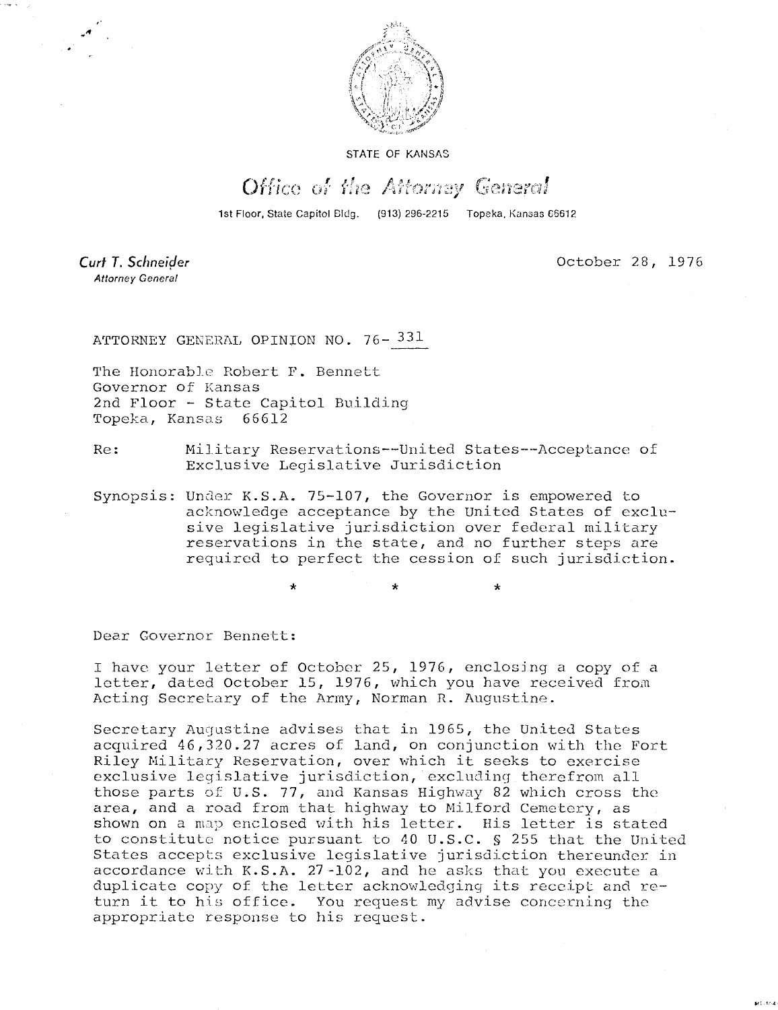

STATE OF KANSAS

## Office of the Attorney General

1st Floor, State Capitol Bldg. (913) 296-2215 Topeka, Kansas 66612

Curt T. Schneider **Attorney General** 

October 28, 1976

anti este

ATTORNEY GENERAL OPINION NO. 76-331

The Honorable Robert F. Bennett Governor of Kansas 2nd Floor - State Capitol Building Topeka, Kansas 66612

Re: Military Reservations--United States--Acceptance of Exclusive Legislative Jurisdiction

Synopsis: Under K.S.A. 75-107, the Governor is empowered to acknowledge acceptance by the United States of exclusive legislative jurisdiction over federal military reservations in the state, and no further steps are required to perfect the cession of such jurisdiction.

Dear Governor Bennett:

I have your letter of October 25, 1976, enclosing a copy of a letter, dated October 15, 1976, which you have received from Acting Secretary of the Army, Norman R. Augustine.

Secretary Augustine advises that in 1965, the United States acquired 46,320.27 acres of land, on conjunction with the Fort Riley Military Reservation, over which it seeks to exercise exclusive legislative jurisdiction, excluding therefrom all those parts of U.S. 77, and Kansas Highway 82 which cross the area, and a road from that highway to Milford Cemetery, as shown on a map enclosed with his letter. His letter is stated to constitute notice pursuant to 40 U.S.C. § 255 that the United States accepts exclusive legislative jurisdiction thereunder in accordance with K.S.A. 27-102, and he asks that you execute a duplicate copy of the letter acknowledging its receipt and return it to his office. You request my advise concerning the appropriate response to his request.